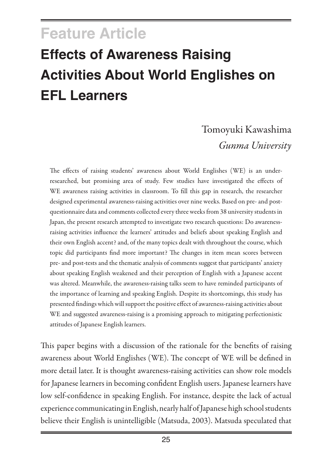# <span id="page-0-0"></span>**Feature Article Effects of Awareness Raising Activities About World Englishes on EFL Learners**

## Tomoyuki Kawashima *Gunma University*

The effects of raising students' awareness about World Englishes (WE) is an underresearched, but promising area of study. Few studies have investigated the effects of WE awareness raising activities in classroom. To fill this gap in research, the researcher designed experimental awareness-raising activities over nine weeks. Based on pre- and postquestionnaire data and comments collected every three weeks from 38 university students in Japan, the present research attempted to investigate two research questions: Do awarenessraising activities influence the learners' attitudes and beliefs about speaking English and their own English accent? and, of the many topics dealt with throughout the course, which topic did participants find more important? The changes in item mean scores between pre- and post-tests and the thematic analysis of comments suggest that participants' anxiety about speaking English weakened and their perception of English with a Japanese accent was altered. Meanwhile, the awareness-raising talks seem to have reminded participants of the importance of learning and speaking English. Despite its shortcomings, this study has presented findings which will support the positive effect of awareness-raising activities about WE and suggested awareness-raising is a promising approach to mitigating perfectionistic attitudes of Japanese English learners.

This paper begins with a discussion of the rationale for the benefits of raising awareness about World Englishes (WE). The concept of WE will be defined in more detail later. It is thought awareness-raising activities can show role models for Japanese learners in becoming confident English users. Japanese learners have low self-confidence in speaking English. For instance, despite the lack of actual experience communicating in English, nearly half of Japanese high school students believe their English is unintelligible (Matsuda, 2003). Matsuda speculated that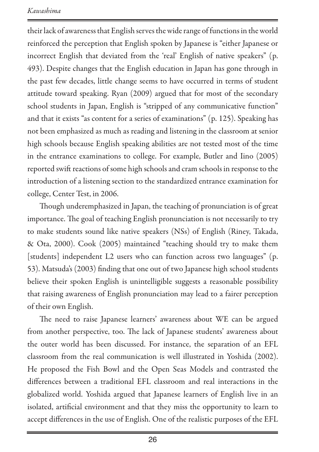their lack of awareness that English serves the wide range of functions in the world reinforced the perception that English spoken by Japanese is "either Japanese or incorrect English that deviated from the 'real' English of native speakers" (p. 493). Despite changes that the English education in Japan has gone through in the past few decades, little change seems to have occurred in terms of student attitude toward speaking. Ryan (2009) argued that for most of the secondary school students in Japan, English is "stripped of any communicative function" and that it exists "as content for a series of examinations" (p. 125). Speaking has not been emphasized as much as reading and listening in the classroom at senior high schools because English speaking abilities are not tested most of the time in the entrance examinations to college. For example, Butler and Iino (2005) reported swift reactions of some high schools and cram schools in response to the introduction of a listening section to the standardized entrance examination for college, Center Test, in 2006.

Though underemphasized in Japan, the teaching of pronunciation is of great importance. The goal of teaching English pronunciation is not necessarily to try to make students sound like native speakers (NSs) of English (Riney, Takada, & Ota, 2000). Cook (2005) maintained "teaching should try to make them [students] independent L2 users who can function across two languages" (p. 53). Matsuda's (2003) finding that one out of two Japanese high school students believe their spoken English is unintelligible suggests a reasonable possibility that raising awareness of English pronunciation may lead to a fairer perception of their own English.

The need to raise Japanese learners' awareness about WE can be argued from another perspective, too. The lack of Japanese students' awareness about the outer world has been discussed. For instance, the separation of an EFL classroom from the real communication is well illustrated in Yoshida (2002). He proposed the Fish Bowl and the Open Seas Models and contrasted the differences between a traditional EFL classroom and real interactions in the globalized world. Yoshida argued that Japanese learners of English live in an isolated, artificial environment and that they miss the opportunity to learn to accept differences in the use of English. One of the realistic purposes of the EFL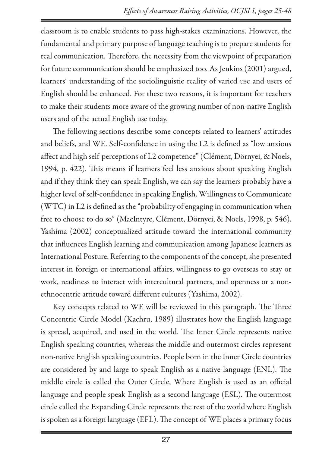classroom is to enable students to pass high-stakes examinations. However, the fundamental and primary purpose of language teaching is to prepare students for real communication. Therefore, the necessity from the viewpoint of preparation for future communication should be emphasized too. As Jenkins (2001) argued, learners' understanding of the sociolinguistic reality of varied use and users of English should be enhanced. For these two reasons, it is important for teachers to make their students more aware of the growing number of non-native English users and of the actual English use today.

The following sections describe some concepts related to learners' attitudes and beliefs, and WE. Self-confidence in using the L2 is defined as "low anxious affect and high self-perceptions of L2 competence" (Clément, Dörnyei, & Noels, 1994, p. 422). This means if learners feel less anxious about speaking English and if they think they can speak English, we can say the learners probably have a higher level of self-confidence in speaking English. Willingness to Communicate (WTC) in L2 is defined as the "probability of engaging in communication when free to choose to do so" (MacIntyre, Clément, Dörnyei, & Noels, 1998, p. 546). Yashima (2002) conceptualized attitude toward the international community that influences English learning and communication among Japanese learners as International Posture. Referring to the components of the concept, she presented interest in foreign or international affairs, willingness to go overseas to stay or work, readiness to interact with intercultural partners, and openness or a nonethnocentric attitude toward different cultures (Yashima, 2002).

Key concepts related to WE will be reviewed in this paragraph. The Three Concentric Circle Model (Kachru, 1989) illustrates how the English language is spread, acquired, and used in the world. The Inner Circle represents native English speaking countries, whereas the middle and outermost circles represent non-native English speaking countries. People born in the Inner Circle countries are considered by and large to speak English as a native language (ENL). The middle circle is called the Outer Circle, Where English is used as an official language and people speak English as a second language (ESL). The outermost circle called the Expanding Circle represents the rest of the world where English is spoken as a foreign language (EFL). The concept of WE places a primary focus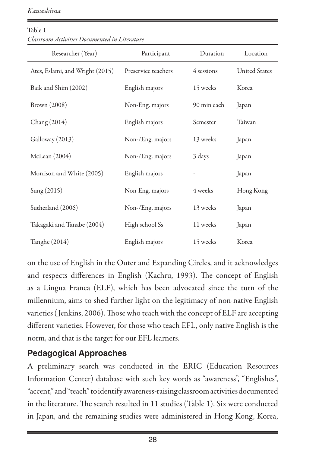*Kawashima*

| Researcher (Year)               | Participant         | Duration    | Location             |  |  |  |  |  |  |
|---------------------------------|---------------------|-------------|----------------------|--|--|--|--|--|--|
| Ates, Eslami, and Wright (2015) | Preservice teachers | 4 sessions  | <b>United States</b> |  |  |  |  |  |  |
| Baik and Shim (2002)            | English majors      | 15 weeks    | Korea                |  |  |  |  |  |  |
| Brown (2008)                    | Non-Eng. majors     | 90 min each | Japan                |  |  |  |  |  |  |
| Chang (2014)                    | English majors      | Semester    | Taiwan               |  |  |  |  |  |  |
| Galloway (2013)                 | Non-/Eng. majors    | 13 weeks    | Japan                |  |  |  |  |  |  |
| McLean (2004)                   | Non-/Eng. majors    | 3 days      | Japan                |  |  |  |  |  |  |
| Morrison and White (2005)       | English majors      |             | Japan                |  |  |  |  |  |  |
| Sung (2015)                     | Non-Eng. majors     | 4 weeks     | Hong Kong            |  |  |  |  |  |  |
| Sutherland (2006)               | Non-/Eng. majors    | 13 weeks    | Japan                |  |  |  |  |  |  |
| Takagaki and Tanabe (2004)      | High school Ss      | 11 weeks    | Japan                |  |  |  |  |  |  |
| Tanghe (2014)                   | English majors      | 15 weeks    | Korea                |  |  |  |  |  |  |

Table 1 *Classroom Activities Documented in Literature*

on the use of English in the Outer and Expanding Circles, and it acknowledges and respects differences in English (Kachru, 1993). The concept of English as a Lingua Franca (ELF), which has been advocated since the turn of the millennium, aims to shed further light on the legitimacy of non-native English varieties ( Jenkins, 2006). Those who teach with the concept of ELF are accepting different varieties. However, for those who teach EFL, only native English is the norm, and that is the target for our EFL learners.

#### **Pedagogical Approaches**

A preliminary search was conducted in the ERIC (Education Resources Information Center) database with such key words as "awareness", "Englishes", "accent," and "teach" to identify awareness-raising classroom activities documented in the literature. The search resulted in 11 studies (Table 1). Six were conducted in Japan, and the remaining studies were administered in Hong Kong, Korea,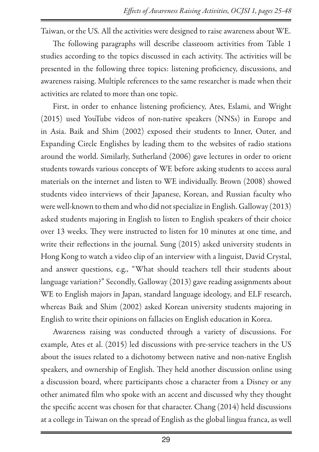Taiwan, or the US. All the activities were designed to raise awareness about WE.

The following paragraphs will describe classroom activities from Table 1 studies according to the topics discussed in each activity. The activities will be presented in the following three topics: listening proficiency, discussions, and awareness raising. Multiple references to the same researcher is made when their activities are related to more than one topic.

First, in order to enhance listening proficiency, Ates, Eslami, and Wright (2015) used YouTube videos of non-native speakers (NNSs) in Europe and in Asia. Baik and Shim (2002) exposed their students to Inner, Outer, and Expanding Circle Englishes by leading them to the websites of radio stations around the world. Similarly, Sutherland (2006) gave lectures in order to orient students towards various concepts of WE before asking students to access aural materials on the internet and listen to WE individually. Brown (2008) showed students video interviews of their Japanese, Korean, and Russian faculty who were well-known to them and who did not specialize in English. Galloway (2013) asked students majoring in English to listen to English speakers of their choice over 13 weeks. They were instructed to listen for 10 minutes at one time, and write their reflections in the journal. Sung (2015) asked university students in Hong Kong to watch a video clip of an interview with a linguist, David Crystal, and answer questions, e.g., "What should teachers tell their students about language variation?" Secondly, Galloway (2013) gave reading assignments about WE to English majors in Japan, standard language ideology, and ELF research, whereas Baik and Shim (2002) asked Korean university students majoring in English to write their opinions on fallacies on English education in Korea.

Awareness raising was conducted through a variety of discussions. For example, Ates et al. (2015) led discussions with pre-service teachers in the US about the issues related to a dichotomy between native and non-native English speakers, and ownership of English. They held another discussion online using a discussion board, where participants chose a character from a Disney or any other animated film who spoke with an accent and discussed why they thought the specific accent was chosen for that character. Chang (2014) held discussions at a college in Taiwan on the spread of English as the global lingua franca, as well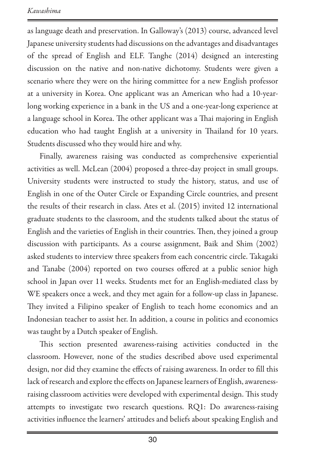as language death and preservation. In Galloway's (2013) course, advanced level Japanese university students had discussions on the advantages and disadvantages of the spread of English and ELF. Tanghe (2014) designed an interesting discussion on the native and non-native dichotomy. Students were given a scenario where they were on the hiring committee for a new English professor at a university in Korea. One applicant was an American who had a 10-yearlong working experience in a bank in the US and a one-year-long experience at a language school in Korea. The other applicant was a Thai majoring in English education who had taught English at a university in Thailand for 10 years. Students discussed who they would hire and why.

Finally, awareness raising was conducted as comprehensive experiential activities as well. McLean (2004) proposed a three-day project in small groups. University students were instructed to study the history, status, and use of English in one of the Outer Circle or Expanding Circle countries, and present the results of their research in class. Ates et al. (2015) invited 12 international graduate students to the classroom, and the students talked about the status of English and the varieties of English in their countries. Then, they joined a group discussion with participants. As a course assignment, Baik and Shim (2002) asked students to interview three speakers from each concentric circle. Takagaki and Tanabe (2004) reported on two courses offered at a public senior high school in Japan over 11 weeks. Students met for an English-mediated class by WE speakers once a week, and they met again for a follow-up class in Japanese. They invited a Filipino speaker of English to teach home economics and an Indonesian teacher to assist her. In addition, a course in politics and economics was taught by a Dutch speaker of English.

This section presented awareness-raising activities conducted in the classroom. However, none of the studies described above used experimental design, nor did they examine the effects of raising awareness. In order to fill this lack of research and explore the effects on Japanese learners of English, awarenessraising classroom activities were developed with experimental design. This study attempts to investigate two research questions. RQ1: Do awareness-raising activities influence the learners' attitudes and beliefs about speaking English and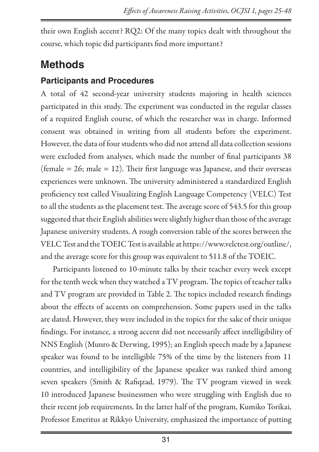their own English accent? RQ2: Of the many topics dealt with throughout the course, which topic did participants find more important?

### **Methods**

#### **Participants and Procedures**

A total of 42 second-year university students majoring in health sciences participated in this study. The experiment was conducted in the regular classes of a required English course, of which the researcher was in charge. Informed consent was obtained in writing from all students before the experiment. However, the data of four students who did not attend all data collection sessions were excluded from analyses, which made the number of final participants 38 (female  $= 26$ ; male  $= 12$ ). Their first language was Japanese, and their overseas experiences were unknown. The university administered a standardized English proficiency test called Visualizing English Language Competency (VELC) Test to all the students as the placement test. The average score of 543.5 for this group suggested that their English abilities were slightly higher than those of the average Japanese university students. A rough conversion table of the scores between the VELC Test and the TOEIC Test is available at<https://www.velctest.org/outline/>, and the average score for this group was equivalent to 511.8 of the TOEIC.

Participants listened to 10-minute talks by their teacher every week except for the tenth week when they watched a TV program. The topics of teacher talks and TV program are provided in Table 2. The topics included research findings about the effects of accents on comprehension. Some papers used in the talks are dated. However, they were included in the topics for the sake of their unique findings. For instance, a strong accent did not necessarily affect intelligibility of NNS English (Munro & Derwing, 1995); an English speech made by a Japanese speaker was found to be intelligible 75% of the time by the listeners from 11 countries, and intelligibility of the Japanese speaker was ranked third among seven speakers (Smith & Rafiqzad, 1979). The TV program viewed in week 10 introduced Japanese businessmen who were struggling with English due to their recent job requirements. In the latter half of the program, Kumiko Torikai, Professor Emeritus at Rikkyo University, emphasized the importance of putting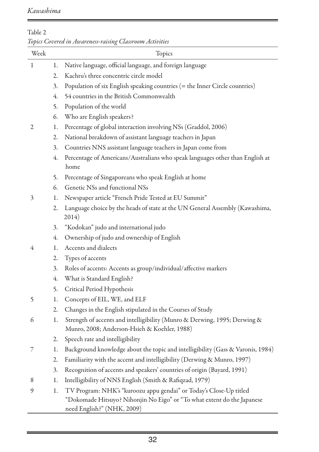| Table 2                                                  |        |
|----------------------------------------------------------|--------|
| Topics Covered in Awareness-raising Classroom Activities |        |
| Week                                                     | Topics |

| Week         |    | Topics                                                                                                                                                                      |
|--------------|----|-----------------------------------------------------------------------------------------------------------------------------------------------------------------------------|
| $\mathbf{1}$ | 1. | Native language, official language, and foreign language                                                                                                                    |
|              | 2. | Kachru's three concentric circle model                                                                                                                                      |
|              | 3. | Population of six English speaking countries (= the Inner Circle countries)                                                                                                 |
|              | 4. | 54 countries in the British Commonwealth                                                                                                                                    |
|              | 5. | Population of the world                                                                                                                                                     |
|              | 6. | Who are English speakers?                                                                                                                                                   |
| 2            | 1. | Percentage of global interaction involving NSs (Graddol, 2006)                                                                                                              |
|              | 2. | National breakdown of assistant language teachers in Japan                                                                                                                  |
|              | 3. | Countries NNS assistant language teachers in Japan come from                                                                                                                |
|              | 4. | Percentage of Americans/Australians who speak languages other than English at<br>home                                                                                       |
|              | 5. | Percentage of Singaporeans who speak English at home                                                                                                                        |
|              | 6. | Genetic NSs and functional NSs                                                                                                                                              |
| 3            | 1. | Newspaper article "French Pride Tested at EU Summit"                                                                                                                        |
|              | 2. | Language choice by the heads of state at the UN General Assembly (Kawashima,<br>2014)                                                                                       |
|              | 3. | "Kodokan" judo and international judo                                                                                                                                       |
|              | 4. | Ownership of judo and ownership of English                                                                                                                                  |
| 4            | 1. | Accents and dialects                                                                                                                                                        |
|              | 2. | Types of accents                                                                                                                                                            |
|              | 3. | Roles of accents: Accents as group/individual/affective markers                                                                                                             |
|              | 4. | What is Standard English?                                                                                                                                                   |
|              | 5. | Critical Period Hypothesis                                                                                                                                                  |
| 5            | 1. | Concepts of EIL, WE, and ELF                                                                                                                                                |
|              | 2. | Changes in the English stipulated in the Courses of Study                                                                                                                   |
| 6            | 1. | Strength of accents and intelligibility (Munro & Derwing, 1995; Derwing &<br>Munro, 2008; Anderson-Hsieh & Koehler, 1988)                                                   |
|              | 2. | Speech rate and intelligibility                                                                                                                                             |
| 7            | 1. | Background knowledge about the topic and intelligibility (Gass & Varonis, 1984)                                                                                             |
|              | 2. | Familiarity with the accent and intelligibility (Derwing & Munro, 1997)                                                                                                     |
|              | 3. | Recognition of accents and speakers' countries of origin (Bayard, 1991)                                                                                                     |
| 8            | 1. | Intelligibility of NNS English (Smith & Rafiqzad, 1979)                                                                                                                     |
| 9            | 1. | TV Program: NHK's "kuroozu appu gendai" or Today's Close-Up titled<br>"Dokomade Hitsuyo? Nihonjin No Eigo" or "To what extent do the Japanese<br>need English?" (NHK, 2009) |

 $\overline{\phantom{a}}$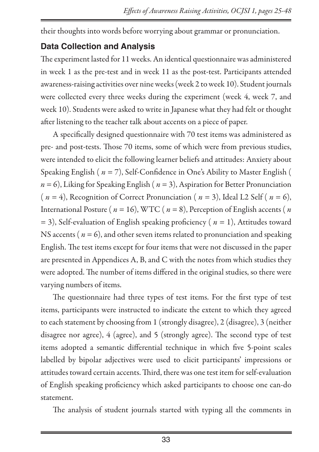their thoughts into words before worrying about grammar or pronunciation.

#### **Data Collection and Analysis**

The experiment lasted for 11 weeks. An identical questionnaire was administered in week 1 as the pre-test and in week 11 as the post-test. Participants attended awareness-raising activities over nine weeks (week 2 to week 10). Student journals were collected every three weeks during the experiment (week 4, week 7, and week 10). Students were asked to write in Japanese what they had felt or thought after listening to the teacher talk about accents on a piece of paper.

A specifically designed questionnaire with 70 test items was administered as pre- and post-tests. Those 70 items, some of which were from previous studies, were intended to elicit the following learner beliefs and attitudes: Anxiety about Speaking English ( *n* = 7), Self-Confidence in One's Ability to Master English (  $n = 6$ ), Liking for Speaking English ( $n = 3$ ), Aspiration for Better Pronunciation ( $n = 4$ ), Recognition of Correct Pronunciation ( $n = 3$ ), Ideal L2 Self ( $n = 6$ ), International Posture ( $n = 16$ ), WTC ( $n = 8$ ), Perception of English accents ( $n$ = 3), Self-evaluation of English speaking proficiency ( *n* = 1), Attitudes toward NS accents ( $n = 6$ ), and other seven items related to pronunciation and speaking English. The test items except for four items that were not discussed in the paper are presented in Appendices A, B, and C with the notes from which studies they were adopted. The number of items differed in the original studies, so there were varying numbers of items.

The questionnaire had three types of test items. For the first type of test items, participants were instructed to indicate the extent to which they agreed to each statement by choosing from 1 (strongly disagree), 2 (disagree), 3 (neither disagree nor agree), 4 (agree), and 5 (strongly agree). The second type of test items adopted a semantic differential technique in which five 5-point scales labelled by bipolar adjectives were used to elicit participants' impressions or attitudes toward certain accents. Third, there was one test item for self-evaluation of English speaking proficiency which asked participants to choose one can-do statement.

The analysis of student journals started with typing all the comments in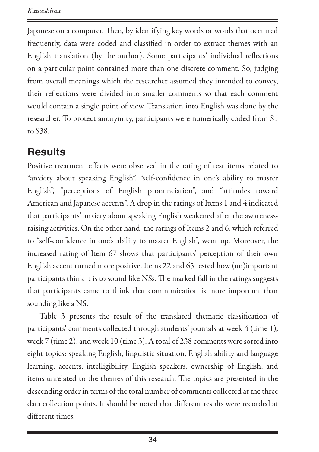Japanese on a computer. Then, by identifying key words or words that occurred frequently, data were coded and classified in order to extract themes with an English translation (by the author). Some participants' individual reflections on a particular point contained more than one discrete comment. So, judging from overall meanings which the researcher assumed they intended to convey, their reflections were divided into smaller comments so that each comment would contain a single point of view. Translation into English was done by the researcher. To protect anonymity, participants were numerically coded from S1 to S38.

### **Results**

Positive treatment effects were observed in the rating of test items related to "anxiety about speaking English", "self-confidence in one's ability to master English", "perceptions of English pronunciation", and "attitudes toward American and Japanese accents". A drop in the ratings of Items 1 and 4 indicated that participants' anxiety about speaking English weakened after the awarenessraising activities. On the other hand, the ratings of Items 2 and 6, which referred to "self-confidence in one's ability to master English", went up. Moreover, the increased rating of Item 67 shows that participants' perception of their own English accent turned more positive. Items 22 and 65 tested how (un)important participants think it is to sound like NSs. The marked fall in the ratings suggests that participants came to think that communication is more important than sounding like a NS.

Table 3 presents the result of the translated thematic classification of participants' comments collected through students' journals at week 4 (time 1), week 7 (time 2), and week 10 (time 3). A total of 238 comments were sorted into eight topics: speaking English, linguistic situation, English ability and language learning, accents, intelligibility, English speakers, ownership of English, and items unrelated to the themes of this research. The topics are presented in the descending order in terms of the total number of comments collected at the three data collection points. It should be noted that different results were recorded at different times.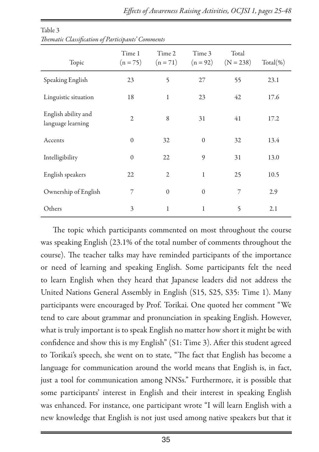| Topic                                    | Time 1<br>$(n = 75)$ | Time 2<br>$(n = 71)$ | Time 3<br>$(n = 92)$ | Total<br>$(N = 238)$ | $Total(\% )$ |
|------------------------------------------|----------------------|----------------------|----------------------|----------------------|--------------|
| Speaking English                         | 23                   | 5                    | 27                   | 55                   | 23.1         |
| Linguistic situation                     | 18                   | $\mathbf{1}$         | 23                   | 42                   | 17.6         |
| English ability and<br>language learning | $\overline{2}$       | 8                    | 31                   | 41                   | 17.2         |
| Accents                                  | $\mathbf{0}$         | 32                   | $\mathbf{0}$         | 32                   | 13.4         |
| Intelligibility                          | $\mathbf{0}$         | 22                   | 9                    | 31                   | 13.0         |
| English speakers                         | 22                   | $\overline{2}$       | $\mathbf{1}$         | 25                   | 10.5         |
| Ownership of English                     | 7                    | $\mathbf{0}$         | $\mathbf{0}$         | 7                    | 2.9          |
| Others                                   | 3                    | 1                    | $\mathbf{1}$         | 5                    | 2.1          |

Table 3 *Thematic Classification of Participants' Comments*

The topic which participants commented on most throughout the course was speaking English (23.1% of the total number of comments throughout the course). The teacher talks may have reminded participants of the importance or need of learning and speaking English. Some participants felt the need to learn English when they heard that Japanese leaders did not address the United Nations General Assembly in English (S15, S25, S35: Time 1). Many participants were encouraged by Prof. Torikai. One quoted her comment "We tend to care about grammar and pronunciation in speaking English. However, what is truly important is to speak English no matter how short it might be with confidence and show this is my English" (S1: Time 3). After this student agreed to Torikai's speech, she went on to state, "The fact that English has become a language for communication around the world means that English is, in fact, just a tool for communication among NNSs." Furthermore, it is possible that some participants' interest in English and their interest in speaking English was enhanced. For instance, one participant wrote "I will learn English with a new knowledge that English is not just used among native speakers but that it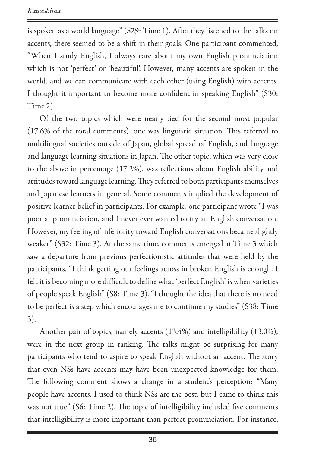is spoken as a world language" (S29: Time 1). After they listened to the talks on accents, there seemed to be a shift in their goals. One participant commented, "When I study English, I always care about my own English pronunciation which is not 'perfect' or 'beautiful'. However, many accents are spoken in the world, and we can communicate with each other (using English) with accents. I thought it important to become more confident in speaking English" (S30: Time 2).

Of the two topics which were nearly tied for the second most popular (17.6% of the total comments), one was linguistic situation. This referred to multilingual societies outside of Japan, global spread of English, and language and language learning situations in Japan. The other topic, which was very close to the above in percentage (17.2%), was reflections about English ability and attitudes toward language learning. They referred to both participants themselves and Japanese learners in general. Some comments implied the development of positive learner belief in participants. For example, one participant wrote "I was poor at pronunciation, and I never ever wanted to try an English conversation. However, my feeling of inferiority toward English conversations became slightly weaker" (S32: Time 3). At the same time, comments emerged at Time 3 which saw a departure from previous perfectionistic attitudes that were held by the participants. "I think getting our feelings across in broken English is enough. I felt it is becoming more difficult to define what 'perfect English' is when varieties of people speak English" (S8: Time 3). "I thought the idea that there is no need to be perfect is a step which encourages me to continue my studies" (S38: Time 3).

Another pair of topics, namely accents (13.4%) and intelligibility (13.0%), were in the next group in ranking. The talks might be surprising for many participants who tend to aspire to speak English without an accent. The story that even NSs have accents may have been unexpected knowledge for them. The following comment shows a change in a student's perception: "Many people have accents. I used to think NSs are the best, but I came to think this was not true" (S6: Time 2). The topic of intelligibility included five comments that intelligibility is more important than perfect pronunciation. For instance,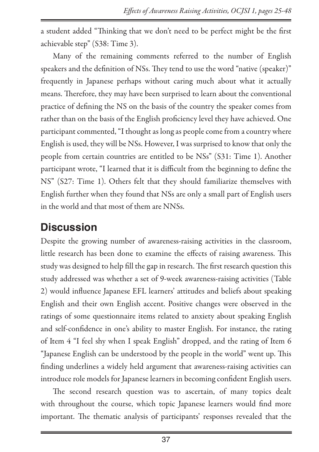a student added "Thinking that we don't need to be perfect might be the first achievable step" (S38: Time 3).

Many of the remaining comments referred to the number of English speakers and the definition of NSs. They tend to use the word "native (speaker)" frequently in Japanese perhaps without caring much about what it actually means. Therefore, they may have been surprised to learn about the conventional practice of defining the NS on the basis of the country the speaker comes from rather than on the basis of the English proficiency level they have achieved. One participant commented, "I thought as long as people come from a country where English is used, they will be NSs. However, I was surprised to know that only the people from certain countries are entitled to be NSs" (S31: Time 1). Another participant wrote, "I learned that it is difficult from the beginning to define the NS" (S27: Time 1). Others felt that they should familiarize themselves with English further when they found that NSs are only a small part of English users in the world and that most of them are NNSs.

### **Discussion**

Despite the growing number of awareness-raising activities in the classroom, little research has been done to examine the effects of raising awareness. This study was designed to help fill the gap in research. The first research question this study addressed was whether a set of 9-week awareness-raising activities (Table 2) would influence Japanese EFL learners' attitudes and beliefs about speaking English and their own English accent. Positive changes were observed in the ratings of some questionnaire items related to anxiety about speaking English and self-confidence in one's ability to master English. For instance, the rating of Item 4 "I feel shy when I speak English" dropped, and the rating of Item 6 "Japanese English can be understood by the people in the world" went up. This finding underlines a widely held argument that awareness-raising activities can introduce role models for Japanese learners in becoming confident English users.

The second research question was to ascertain, of many topics dealt with throughout the course, which topic Japanese learners would find more important. The thematic analysis of participants' responses revealed that the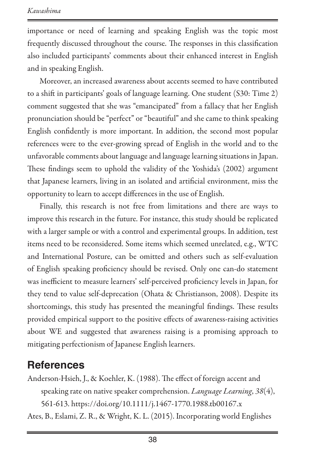importance or need of learning and speaking English was the topic most frequently discussed throughout the course. The responses in this classification also included participants' comments about their enhanced interest in English and in speaking English.

Moreover, an increased awareness about accents seemed to have contributed to a shift in participants' goals of language learning. One student (S30: Time 2) comment suggested that she was "emancipated" from a fallacy that her English pronunciation should be "perfect" or "beautiful" and she came to think speaking English confidently is more important. In addition, the second most popular references were to the ever-growing spread of English in the world and to the unfavorable comments about language and language learning situations in Japan. These findings seem to uphold the validity of the Yoshida's (2002) argument that Japanese learners, living in an isolated and artificial environment, miss the opportunity to learn to accept differences in the use of English.

Finally, this research is not free from limitations and there are ways to improve this research in the future. For instance, this study should be replicated with a larger sample or with a control and experimental groups. In addition, test items need to be reconsidered. Some items which seemed unrelated, e.g., WTC and International Posture, can be omitted and others such as self-evaluation of English speaking proficiency should be revised. Only one can-do statement was inefficient to measure learners' self-perceived proficiency levels in Japan, for they tend to value self-deprecation (Ohata & Christianson, 2008). Despite its shortcomings, this study has presented the meaningful findings. These results provided empirical support to the positive effects of awareness-raising activities about WE and suggested that awareness raising is a promising approach to mitigating perfectionism of Japanese English learners.

### **References**

Anderson-Hsieh, J., & Koehler, K. (1988). The effect of foreign accent and speaking rate on native speaker comprehension. *Language Learning*, *38*(4), 561-613. <https://doi.org/10.1111/j.1467-1770.1988.tb00167.x> Ates, B., Eslami, Z. R., & Wright, K. L. (2015). Incorporating world Englishes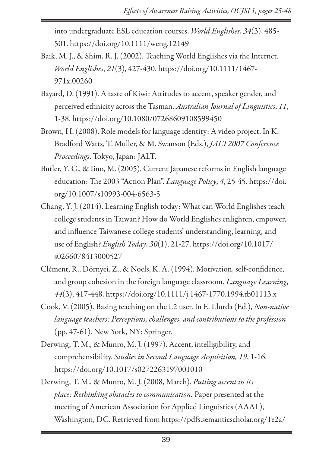into undergraduate ESL education courses. *World Englishes*, *34*(3), 485- 501.<https://doi.org/10.1111/weng.12149>

- Baik, M. J., & Shim, R. J. (2002). Teaching World Englishes via the Internet. *World Englishes*, *21*(3), 427-430. [https://doi.org/10.1111/1467-](https://doi.org/10.1111/1467-971x.00260) [971x.00260](https://doi.org/10.1111/1467-971x.00260)
- Bayard, D. (1991). A taste of Kiwi: Attitudes to accent, speaker gender, and perceived ethnicity across the Tasman. *Australian Journal of Linguistics*, *11*, 1-38.<https://doi.org/10.1080/07268609108599450>
- Brown, H. (2008). Role models for language identity: A video project. In K. Bradford Watts, T. Muller, & M. Swanson (Eds.), *JALT2007 Conference Proceedings*. Tokyo, Japan: JALT.
- Butler, Y. G., & Iino, M. (2005). Current Japanese reforms in English language education: The 2003 "Action Plan". *Language Policy*, *4*, 25-45. [https://doi.](https://doi.org/10.1007/s10993-004-6563-5) [org/10.1007/s10993-004-6563-5](https://doi.org/10.1007/s10993-004-6563-5)
- Chang, Y. J. (2014). Learning English today: What can World Englishes teach college students in Taiwan? How do World Englishes enlighten, empower, and influence Taiwanese college students' understanding, learning, and use of English? *English Today*, *30*(1), 21-27. [https://doi.org/10.1017/](https://doi.org/10.1017/s0266078413000527) [s0266078413000527](https://doi.org/10.1017/s0266078413000527)
- Clément, R., Dörnyei, Z., & Noels, K. A. (1994). Motivation, self-confidence, and group cohesion in the foreign language classroom. *Language Learning*, *44*(3), 417-448.<https://doi.org/10.1111/j.1467-1770.1994.tb01113.x>
- Cook, V. (2005). Basing teaching on the L2 user. In E. Llurda (Ed.), *Non-native language teachers: Perceptions, challenges, and contributions to the profession* (pp. 47-61). New York, NY: Springer.
- Derwing, T. M., & Munro, M. J. (1997). Accent, intelligibility, and comprehensibility. *Studies in Second Language Acquisition, 19*, 1-16. <https://doi.org/10.1017/s0272263197001010>
- Derwing, T. M., & Munro, M. J. (2008, March). *Putting accent in its place: Rethinking obstacles to communication.* Paper presented at the meeting of American Association for Applied Linguistics (AAAL), Washington, DC. Retrieved from [https://pdfs.semanticscholar.org/1e2a/](https://pdfs.semanticscholar.org/1e2a/b6c38c063f12aa92a881eb13cbadb66cdaa7.pdf)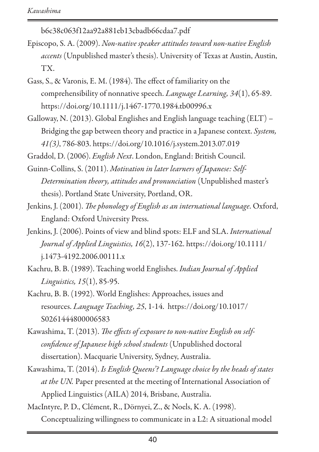[b6c38c063f12aa92a881eb13cbadb66cdaa7.pdf](https://pdfs.semanticscholar.org/1e2a/b6c38c063f12aa92a881eb13cbadb66cdaa7.pdf)

- Episcopo, S. A. (2009). *Non-native speaker attitudes toward non-native English accents* (Unpublished master's thesis). University of Texas at Austin, Austin, TX.
- Gass, S., & Varonis, E. M. (1984). The effect of familiarity on the comprehensibility of nonnative speech. *Language Learning, 34*(1), 65-89. <https://doi.org/10.1111/j.1467-1770.1984.tb00996.x>
- Galloway, N. (2013). Global Englishes and English language teaching (ELT) Bridging the gap between theory and practice in a Japanese context. *System, 41(3)*, 786-803.<https://doi.org/10.1016/j.system.2013.07.019>

Graddol, D. (2006). *English Next*. London, England: British Council.

- Guinn-Collins, S. (2011). *Motivation in later learners of Japanese: Self-Determination theory, attitudes and pronunciation* (Unpublished master's thesis). Portland State University, Portland, OR.
- Jenkins, J. (2001). *The phonology of English as an international language*. Oxford, England: Oxford University Press.
- Jenkins, J. (2006). Points of view and blind spots: ELF and SLA. *International Journal of Applied Linguistics, 16*(2), 137-162. [https://doi.org/10.1111/](https://doi.org/10.1111/j.1473-4192.2006.00111.x) [j.1473-4192.2006.00111.x](https://doi.org/10.1111/j.1473-4192.2006.00111.x)
- Kachru, B. B. (1989). Teaching world Englishes. *Indian Journal of Applied Linguistics, 15*(1), 85-95.
- Kachru, B. B. (1992). World Englishes: Approaches, issues and resources. *Language Teaching, 25*, 1-14. [https://doi.org/10.1017/](https://doi.org/10.1017/S0261444800006583) [S0261444800006583](https://doi.org/10.1017/S0261444800006583)
- Kawashima, T. (2013). *The effects of exposure to non-native English on selfconfidence of Japanese high school students* (Unpublished doctoral dissertation). Macquarie University, Sydney, Australia.
- Kawashima, T. (2014). *Is English Queens'? Language choice by the heads of states at the UN.* Paper presented at the meeting of International Association of Applied Linguistics (AILA) 2014, Brisbane, Australia.

MacIntyre, P. D., Clément, R., Dörnyei, Z., & Noels, K. A. (1998). Conceptualizing willingness to communicate in a L2: A situational model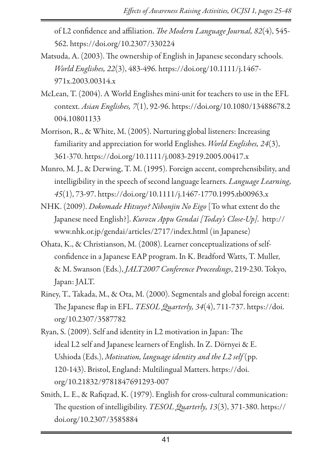of L2 confidence and affiliation. *The Modern Language Journal, 82*(4), 545- 562.<https://doi.org/10.2307/330224>

- Matsuda, A. (2003). The ownership of English in Japanese secondary schools. *World Englishes, 22*(3), 483-496. [https://doi.org/10.1111/j.1467-](https://doi.org/10.1111/j.1467-971x.2003.00314.x) [971x.2003.00314.x](https://doi.org/10.1111/j.1467-971x.2003.00314.x)
- McLean, T. (2004). A World Englishes mini-unit for teachers to use in the EFL context. *Asian Englishes, 7*(1), 92-96. [https://doi.org/10.1080/13488678.2](https://doi.org/10.1080/13488678.2004.10801133) [004.10801133](https://doi.org/10.1080/13488678.2004.10801133)
- Morrison, R., & White, M. (2005). Nurturing global listeners: Increasing familiarity and appreciation for world Englishes. *World Englishes, 24*(3), 361-370.<https://doi.org/10.1111/j.0083-2919.2005.00417.x>
- Munro, M. J., & Derwing, T. M. (1995). Foreign accent, comprehensibility, and intelligibility in the speech of second language learners. *Language Learning, 45*(1), 73-97. <https://doi.org/10.1111/j.1467-1770.1995.tb00963.x>
- NHK. (2009). *Dokomade Hitsuyo? Nihonjin No Eigo* [To what extent do the Japanese need English?]. *Kurozu Appu Gendai [Today's Close-Up]*.  [http://](http://www.nhk.or.jp/gendai/articles/2717/index.html) [www.nhk.or.jp/gendai/articles/2717/index.html](http://www.nhk.or.jp/gendai/articles/2717/index.html) (in Japanese)
- Ohata, K., & Christianson, M. (2008). Learner conceptualizations of selfconfidence in a Japanese EAP program. In K. Bradford Watts, T. Muller, & M. Swanson (Eds.), *JALT2007 Conference Proceedings*, 219-230. Tokyo, Japan: JALT.
- Riney, T., Takada, M., & Ota, M. (2000). Segmentals and global foreign accent: The Japanese flap in EFL. *TESOL Quarterly, 34*(4), 711-737. [https://doi.](https://doi.org/10.2307/3587782) [org/10.2307/3587782](https://doi.org/10.2307/3587782)
- Ryan, S. (2009). Self and identity in L2 motivation in Japan: The ideal L2 self and Japanese learners of English. In Z. Dörnyei & E. Ushioda (Eds.), *Motivation, language identity and the L2 self* (pp. 120-143). Bristol, England: Multilingual Matters. [https://doi.](https://doi.org/10.21832/9781847691293-007) [org/10.21832/9781847691293-007](https://doi.org/10.21832/9781847691293-007)
- Smith, L. E., & Rafiqzad, K. (1979). English for cross-cultural communication: The question of intelligibility. *TESOL Quarterly, 13*(3), 371-380. [https://](https://doi.org/10.2307/3585884) [doi.org/10.2307/3585884](https://doi.org/10.2307/3585884)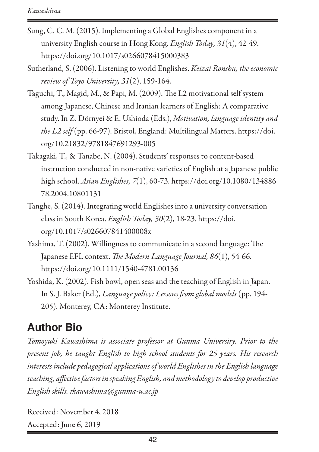- Sung, C. C. M. (2015). Implementing a Global Englishes component in a university English course in Hong Kong. *English Today, 31*(4), 42-49. <https://doi.org/10.1017/s0266078415000383>
- Sutherland, S. (2006). Listening to world Englishes. *Keizai Ronshu, the economic review of Toyo University, 31*(2), 159-164.
- Taguchi, T., Magid, M., & Papi, M. (2009). The L2 motivational self system among Japanese, Chinese and Iranian learners of English: A comparative study. In Z. Dörnyei & E. Ushioda (Eds.), *Motivation, language identity and the L2 self* (pp. 66-97). Bristol, England: Multilingual Matters. [https://doi.](https://doi.org/10.21832/9781847691293-005) [org/10.21832/9781847691293-005](https://doi.org/10.21832/9781847691293-005)
- Takagaki, T., & Tanabe, N. (2004). Students' responses to content-based instruction conducted in non-native varieties of English at a Japanese public high school. *Asian Englishes, 7*(1), 60-73. [https://doi.org/10.1080/134886](https://doi.org/10.1080/13488678.2004.10801131) [78.2004.10801131](https://doi.org/10.1080/13488678.2004.10801131)
- Tanghe, S. (2014). Integrating world Englishes into a university conversation class in South Korea. *English Today, 30*(2), 18-23. [https://doi.](https://doi.org/10.1017/s026607841400008x) [org/10.1017/s026607841400008x](https://doi.org/10.1017/s026607841400008x)
- Yashima, T. (2002). Willingness to communicate in a second language: The Japanese EFL context. *The Modern Language Journal, 86*(1), 54-66. <https://doi.org/10.1111/1540-4781.00136>
- Yoshida, K. (2002). Fish bowl, open seas and the teaching of English in Japan. In S. J. Baker (Ed.), *Language policy: Lessons from global models* (pp. 194- 205). Monterey, CA: Monterey Institute.

### **Author Bio**

*Tomoyuki Kawashima is associate professor at Gunma University. Prior to the present job, he taught English to high school students for 25 years. His research interests include pedagogical applications of world Englishes in the English language teaching, affective factors in speaking English, and methodology to develop productive English skills. [tkawashima@gunma-u.ac.jp](mailto:tkawashima@gunma-u.ac.jp)*

Received: November 4, 2018 Accepted: June 6, 2019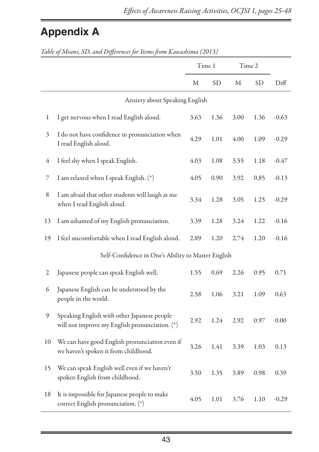# **Appendix A**

|    | were of Internet, OD, and Differences for Irelins from Icademonial (2019)                     | Time 1 |      | Time 2 |           |         |
|----|-----------------------------------------------------------------------------------------------|--------|------|--------|-----------|---------|
|    |                                                                                               | Μ      | SD.  | М      | <b>SD</b> | Diff    |
|    | Anxiety about Speaking English                                                                |        |      |        |           |         |
| 1  | I get nervous when I read English aloud.                                                      | 3.63   | 1.36 | 3.00   | 1.36      | $-0.63$ |
| 3  | I do not have confidence in pronunciation when<br>I read English aloud.                       | 4.29   | 1.01 | 4.00   | 1.09      | $-0.29$ |
| 4  | I feel shy when I speak English.                                                              | 4.03   | 1.08 | 3.55   | 1.18      | $-0.47$ |
| 7  | I am relaxed when I speak English. (*)                                                        | 4.05   | 0.90 | 3.92   | 0.85      | $-0.13$ |
| 8  | I am afraid that other students will laugh at me<br>when I read English aloud.                | 3.34   | 1.28 | 3.05   | 1.25      | $-0.29$ |
| 13 | I am ashamed of my English pronunciation.                                                     | 3.39   | 1.28 | 3.24   | 1.22      | $-0.16$ |
| 19 | I feel uncomfortable when I read English aloud.                                               | 2.89   | 1.20 | 2.74   | 1.20      | $-0.16$ |
|    | Self-Confidence in One's Ability to Master English                                            |        |      |        |           |         |
| 2  | Japanese people can speak English well.                                                       | 1.55   | 0.69 | 2.26   | 0.95      | 0.71    |
| 6  | Japanese English can be understood by the<br>people in the world.                             | 2.58   | 1.06 | 3.21   | 1.09      | 0.63    |
| 9  | Speaking English with other Japanese people<br>will not improve my English pronunciation. (*) | 2.92   | 1.24 | 2.92   | 0.97      | 0.00    |
| 10 | We can have good English pronunciation even if<br>we haven't spoken it from childhood.        | 3.26   | 1.41 | 3.39   | 1.03      | 0.13    |
| 15 | We can speak English well even if we haven't<br>spoken English from childhood.                | 3.50   | 1.35 | 3.89   | 0.98      | 0.39    |
| 18 | It is impossible for Japanese people to make<br>correct English pronunciation. (*)            | 4.05   | 1.01 | 3.76   | 1.10      | $-0.29$ |

*Table of Means, SD, and Differences for Items from Kawashima (2013)*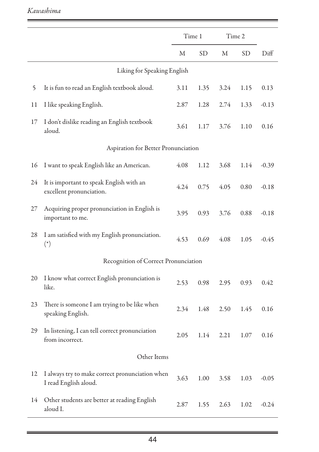#### *Kawashima*

|    |                                                                          | Time 1 |           | Time 2 |      |         |  |
|----|--------------------------------------------------------------------------|--------|-----------|--------|------|---------|--|
|    |                                                                          | М      | <b>SD</b> | М      | SD   | Diff    |  |
|    | Liking for Speaking English                                              |        |           |        |      |         |  |
| 5  | It is fun to read an English textbook aloud.                             | 3.11   | 1.35      | 3.24   | 1.15 | 0.13    |  |
| 11 | I like speaking English.                                                 | 2.87   | 1.28      | 2.74   | 1.33 | $-0.13$ |  |
| 17 | I don't dislike reading an English textbook<br>aloud.                    | 3.61   | 1.17      | 3.76   | 1.10 | 0.16    |  |
|    | Aspiration for Better Pronunciation                                      |        |           |        |      |         |  |
| 16 | I want to speak English like an American.                                | 4.08   | 1.12      | 3.68   | 1.14 | $-0.39$ |  |
| 24 | It is important to speak English with an<br>excellent pronunciation.     | 4.24   | 0.75      | 4.05   | 0.80 | $-0.18$ |  |
| 27 | Acquiring proper pronunciation in English is<br>important to me.         | 3.95   | 0.93      | 3.76   | 0.88 | $-0.18$ |  |
| 28 | I am satisfied with my English pronunciation.<br>$(*)$                   | 4.53   | 0.69      | 4.08   | 1.05 | $-0.45$ |  |
|    | Recognition of Correct Pronunciation                                     |        |           |        |      |         |  |
| 20 | I know what correct English pronunciation is<br>like.                    | 2.53   | 0.98      | 2.95   | 0.93 | 0.42    |  |
| 23 | There is someone I am trying to be like when<br>speaking English.        | 2.34   | 1.48      | 2.50   | 1.45 | 0.16    |  |
| 29 | In listening, I can tell correct pronunciation<br>from incorrect.        | 2.05   | 1.14      | 2.21   | 1.07 | 0.16    |  |
|    | Other Items                                                              |        |           |        |      |         |  |
| 12 | I always try to make correct pronunciation when<br>I read English aloud. | 3.63   | 1.00      | 3.58   | 1.03 | $-0.05$ |  |
| 14 | Other students are better at reading English<br>aloud I.                 | 2.87   | 1.55      | 2.63   | 1.02 | $-0.24$ |  |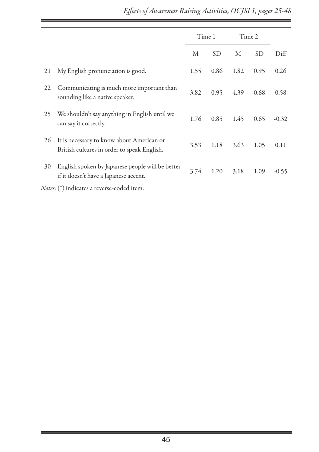|    |                                                                                           | Time 1 |      | Time 2 |      |         |
|----|-------------------------------------------------------------------------------------------|--------|------|--------|------|---------|
|    |                                                                                           | М      | SD   | М      | SD   | Diff    |
| 21 | My English pronunciation is good.                                                         | 1.55   | 0.86 | 1.82   | 0.95 | 0.26    |
| 22 | Communicating is much more important than<br>sounding like a native speaker.              | 3.82   | 0.95 | 4.39   | 0.68 | 0.58    |
| 25 | We shouldn't say anything in English until we<br>can say it correctly.                    | 1.76   | 0.85 | 1.45   | 0.65 | $-0.32$ |
| 26 | It is necessary to know about American or<br>British cultures in order to speak English.  | 3.53   | 1.18 | 3.63   | 1.05 | 0.11    |
| 30 | English spoken by Japanese people will be better<br>if it doesn't have a Japanese accent. | 3.74   | 1.20 | 3.18   | 1.09 | $-0.55$ |

*Notes*: (\*) indicates a reverse-coded item.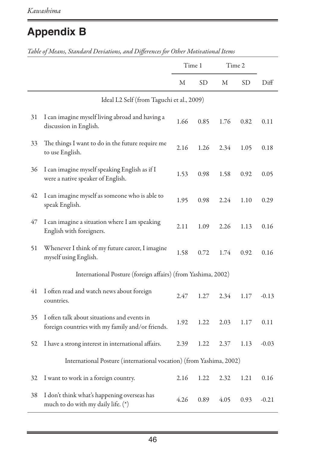# **Appendix B**

|    |                                                                                                 | Time 1 |      | Time 2 |      |         |
|----|-------------------------------------------------------------------------------------------------|--------|------|--------|------|---------|
|    |                                                                                                 | М      | SD   | М      | SD   | Diff    |
|    | Ideal L2 Self (from Taguchi et al., 2009)                                                       |        |      |        |      |         |
| 31 | I can imagine myself living abroad and having a<br>discussion in English.                       | 1.66   | 0.85 | 1.76   | 0.82 | 0.11    |
| 33 | The things I want to do in the future require me<br>to use English.                             | 2.16   | 1.26 | 2.34   | 1.05 | 0.18    |
| 36 | I can imagine myself speaking English as if I<br>were a native speaker of English.              | 1.53   | 0.98 | 1.58   | 0.92 | 0.05    |
| 42 | I can imagine myself as someone who is able to<br>speak English.                                | 1.95   | 0.98 | 2.24   | 1.10 | 0.29    |
| 47 | I can imagine a situation where I am speaking<br>English with foreigners.                       | 2.11   | 1.09 | 2.26   | 1.13 | 0.16    |
| 51 | Whenever I think of my future career, I imagine<br>myself using English.                        | 1.58   | 0.72 | 1.74   | 0.92 | 0.16    |
|    | International Posture (foreign affairs) (from Yashima, 2002)                                    |        |      |        |      |         |
| 41 | I often read and watch news about foreign<br>countries.                                         | 2.47   | 1.27 | 2.34   | 1.17 | $-0.13$ |
| 35 | I often talk about situations and events in<br>foreign countries with my family and/or friends. | 1.92   | 1.22 | 2.03   | 1.17 | 0.11    |
| 52 | I have a strong interest in international affairs.                                              | 2.39   | 1.22 | 2.37   | 1.13 | $-0.03$ |
|    | International Posture (international vocation) (from Yashima, 2002)                             |        |      |        |      |         |
| 32 | I want to work in a foreign country.                                                            | 2.16   | 1.22 | 2.32   | 1.21 | 0.16    |
| 38 | I don't think what's happening overseas has<br>much to do with my daily life. (*)               | 4.26   | 0.89 | 4.05   | 0.93 | $-0.21$ |

*Table of Means, Standard Deviations, and Differences for Other Motivational Items*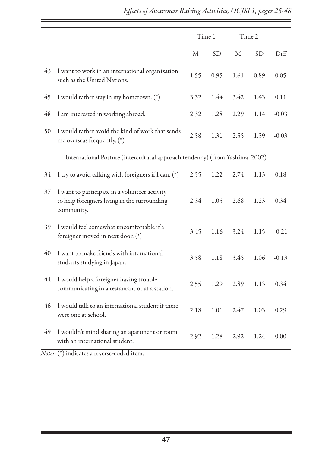|    |                                                                                                             | Time 1 |           | Time 2 |           |         |
|----|-------------------------------------------------------------------------------------------------------------|--------|-----------|--------|-----------|---------|
|    |                                                                                                             | М      | <b>SD</b> | М      | <b>SD</b> | Diff    |
| 43 | I want to work in an international organization<br>such as the United Nations.                              | 1.55   | 0.95      | 1.61   | 0.89      | 0.05    |
| 45 | I would rather stay in my hometown. (*)                                                                     | 3.32   | 1.44      | 3.42   | 1.43      | 0.11    |
| 48 | I am interested in working abroad.                                                                          | 2.32   | 1.28      | 2.29   | 1.14      | $-0.03$ |
| 50 | I would rather avoid the kind of work that sends<br>me overseas frequently. (*)                             | 2.58   | 1.31      | 2.55   | 1.39      | $-0.03$ |
|    | International Posture (intercultural approach tendency) (from Yashima, 2002)                                |        |           |        |           |         |
| 34 | I try to avoid talking with foreigners if I can. (*)                                                        | 2.55   | 1.22      | 2.74   | 1.13      | 0.18    |
| 37 | I want to participate in a volunteer activity<br>to help foreigners living in the surrounding<br>community. | 2.34   | 1.05      | 2.68   | 1.23      | 0.34    |
| 39 | I would feel somewhat uncomfortable if a<br>foreigner moved in next door. (*)                               | 3.45   | 1.16      | 3.24   | 1.15      | $-0.21$ |
| 40 | I want to make friends with international<br>students studying in Japan.                                    | 3.58   | 1.18      | 3.45   | 1.06      | $-0.13$ |
| 44 | I would help a foreigner having trouble<br>communicating in a restaurant or at a station.                   | 2.55   | 1.29      | 2.89   | 1.13      | 0.34    |
| 46 | I would talk to an international student if there<br>were one at school.                                    | 2.18   | 1.01      | 2.47   | 1.03      | 0.29    |
| 49 | I wouldn't mind sharing an apartment or room<br>with an international student.                              | 2.92   | 1.28      | 2.92   | 1.24      | 0.00    |

*Notes*: (\*) indicates a reverse-coded item.